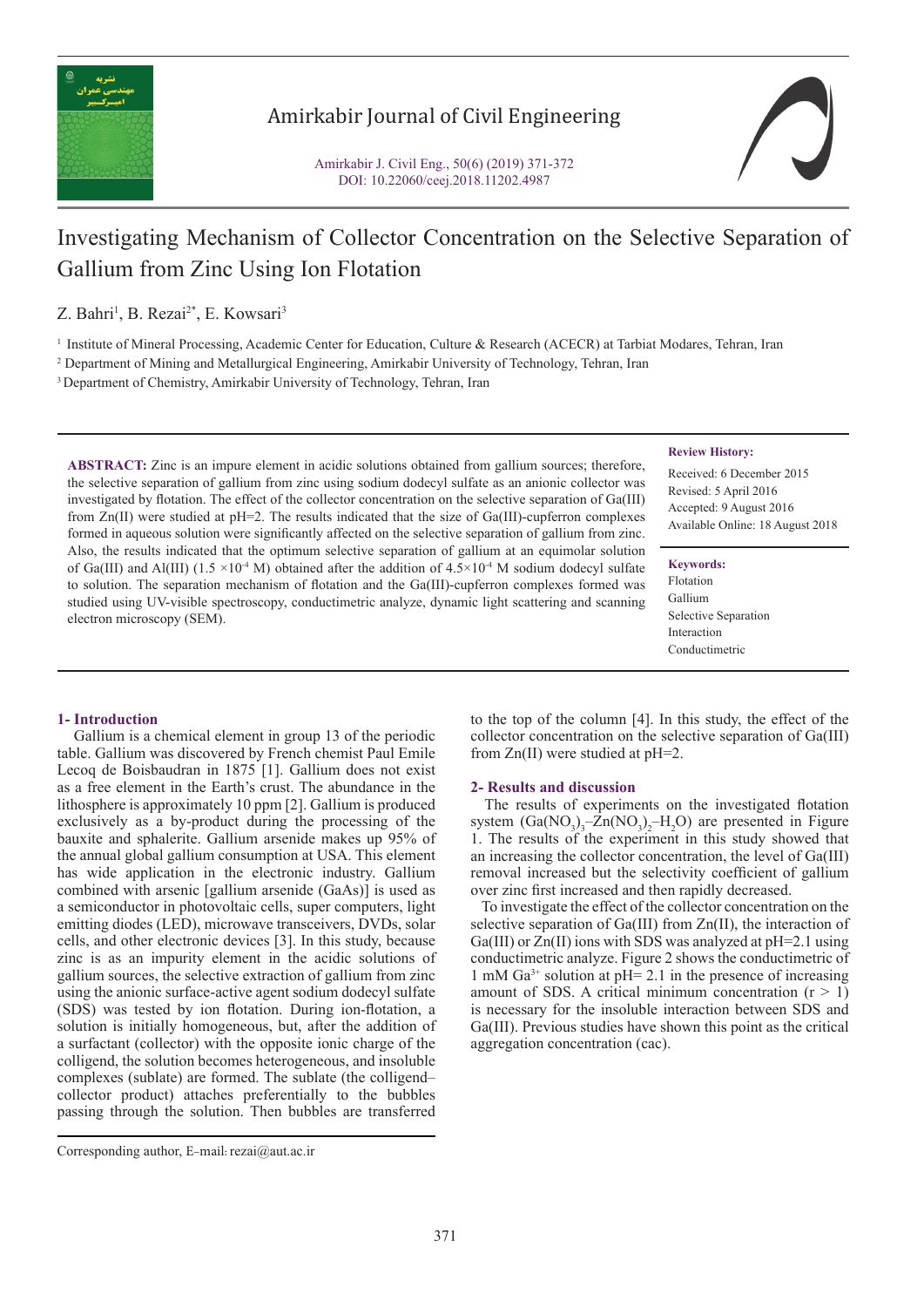

# Amirkabir Journal of Civil Engineering

Amirkabir J. Civil Eng., 50(6) (2019) 371-372 DOI: 10.22060/ceej.2018.11202.4987



# Investigating Mechanism of Collector Concentration on the Selective Separation of Gallium from Zinc Using Ion Flotation

Z. Bahri<sup>1</sup>, B. Rezai<sup>2\*</sup>, E. Kowsari<sup>3</sup>

<sup>1</sup> Institute of Mineral Processing, Academic Center for Education, Culture & Research (ACECR) at Tarbiat Modares, Tehran, Iran

2 Department of Mining and Metallurgical Engineering, Amirkabir University of Technology, Tehran, Iran

<sup>3</sup> Department of Chemistry, Amirkabir University of Technology, Tehran, Iran

**ABSTRACT:** Zinc is an impure element in acidic solutions obtained from gallium sources; therefore, the selective separation of gallium from zinc using sodium dodecyl sulfate as an anionic collector was investigated by flotation. The effect of the collector concentration on the selective separation of Ga(III) from  $Zn(II)$  were studied at pH=2. The results indicated that the size of Ga(III)-cupferron complexes formed in aqueous solution were significantly affected on the selective separation of gallium from zinc. Also, the results indicated that the optimum selective separation of gallium at an equimolar solution of Ga(III) and Al(III) (1.5 ×10<sup>-4</sup> M) obtained after the addition of  $4.5 \times 10^{-4}$  M sodium dodecyl sulfate to solution. The separation mechanism of flotation and the Ga(III)-cupferron complexes formed was studied using UV-visible spectroscopy, conductimetric analyze, dynamic light scattering and scanning electron microscopy (SEM).

#### **Review History:**

Received: 6 December 2015 Revised: 5 April 2016 Accepted: 9 August 2016 Available Online: 18 August 2018

**Keywords:** Flotation Gallium Selective Separation Interaction Conductimetric

## **1- Introduction**

 Gallium is a chemical element in group 13 of the periodic table. Gallium was discovered by French chemist Paul Emile Lecoq de Boisbaudran in 1875 [1]. Gallium does not exist as a free element in the Earth's crust. The abundance in the lithosphere is approximately 10 ppm [2]. Gallium is produced exclusively as a by-product during the processing of the bauxite and sphalerite. Gallium arsenide makes up 95% of the annual global gallium consumption at USA. This element has wide application in the electronic industry. Gallium combined with arsenic [gallium arsenide (GaAs)] is used as a semiconductor in photovoltaic cells, super computers, light emitting diodes (LED), microwave transceivers, DVDs, solar cells, and other electronic devices [3]. In this study, because zinc is as an impurity element in the acidic solutions of gallium sources, the selective extraction of gallium from zinc using the anionic surface-active agent sodium dodecyl sulfate (SDS) was tested by ion flotation. During ion-flotation, a solution is initially homogeneous, but, after the addition of a surfactant (collector) with the opposite ionic charge of the colligend, the solution becomes heterogeneous, and insoluble complexes (sublate) are formed. The sublate (the colligend– collector product) attaches preferentially to the bubbles passing through the solution. Then bubbles are transferred to the top of the column [4]. In this study, the effect of the collector concentration on the selective separation of Ga(III) from Zn(II) were studied at pH=2.

#### **2- Results and discussion**

 The results of experiments on the investigated flotation system  $(Ga(NO<sub>3</sub>)<sub>3</sub> - Zn(NO<sub>3</sub>)<sub>2</sub> - H<sub>2</sub>O)$  are presented in Figure 1. The results of the experiment in this study showed that an increasing the collector concentration, the level of Ga(III) removal increased but the selectivity coefficient of gallium over zinc first increased and then rapidly decreased.

 To investigate the effect of the collector concentration on the selective separation of Ga(III) from Zn(II), the interaction of  $Ga(III)$  or  $Zn(II)$  ions with SDS was analyzed at  $pH=2.1$  using conductimetric analyze. Figure 2 shows the conductimetric of 1 mM  $Ga^{3+}$  solution at pH= 2.1 in the presence of increasing amount of SDS. A critical minimum concentration  $(r > 1)$ is necessary for the insoluble interaction between SDS and Ga(III). Previous studies have shown this point as the critical aggregation concentration (cac).

Corresponding author, E-mail: rezai@aut.ac.ir